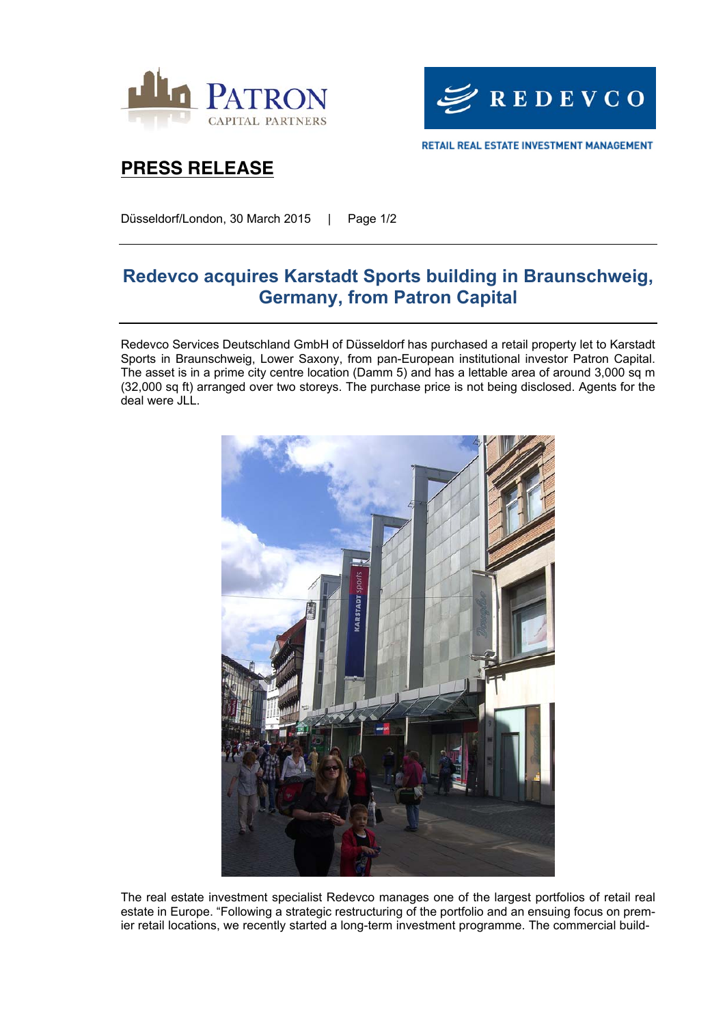



## **PRESS RELEASE**

Düsseldorf/London, 30 March 2015 | Page 1/2

# **Redevco acquires Karstadt Sports building in Braunschweig, Germany, from Patron Capital**

Redevco Services Deutschland GmbH of Düsseldorf has purchased a retail property let to Karstadt Sports in Braunschweig, Lower Saxony, from pan-European institutional investor Patron Capital. The asset is in a prime city centre location (Damm 5) and has a lettable area of around 3,000 sq m (32,000 sq ft) arranged over two storeys. The purchase price is not being disclosed. Agents for the deal were JLL.



The real estate investment specialist Redevco manages one of the largest portfolios of retail real estate in Europe. "Following a strategic restructuring of the portfolio and an ensuing focus on premier retail locations, we recently started a long-term investment programme. The commercial build-